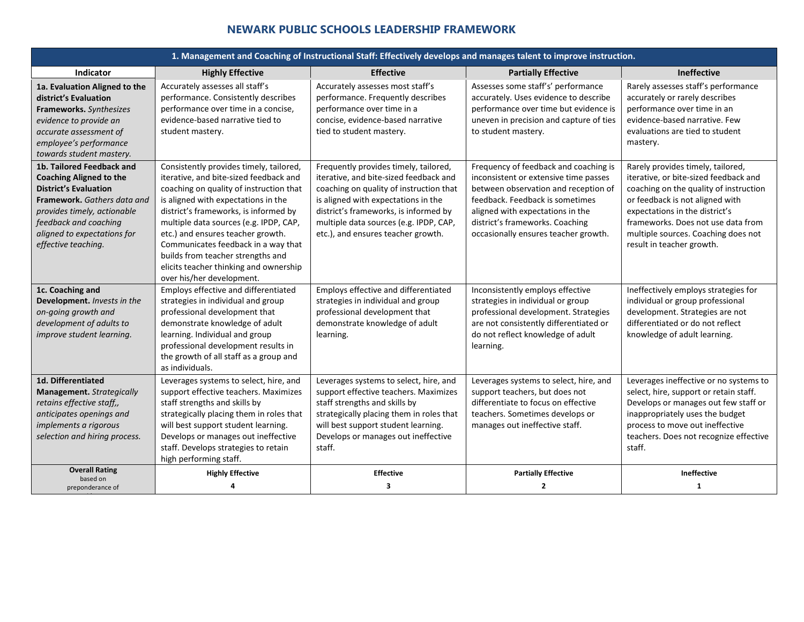## **NEWARK PUBLIC SCHOOLS LEADERSHIP FRAMEWORK**

| <b>Effective</b><br><b>Ineffective</b><br><b>Indicator</b><br><b>Partially Effective</b><br><b>Highly Effective</b><br>Accurately assesses all staff's<br>Assesses some staff's' performance<br>Rarely assesses staff's performance<br>Accurately assesses most staff's<br>1a. Evaluation Aligned to the<br>performance. Consistently describes<br>performance. Frequently describes<br>accurately. Uses evidence to describe<br>accurately or rarely describes<br>district's Evaluation<br>performance over time in a concise,<br>performance over time in a<br>performance over time but evidence is<br>performance over time in an<br>Frameworks. Synthesizes<br>evidence-based narrative tied to<br>uneven in precision and capture of ties<br>evidence-based narrative. Few<br>concise, evidence-based narrative<br>evidence to provide an<br>tied to student mastery.<br>to student mastery.<br>evaluations are tied to student<br>student mastery.<br>accurate assessment of<br>employee's performance<br>mastery.<br>towards student mastery.<br>Consistently provides timely, tailored,<br>Frequently provides timely, tailored,<br>Frequency of feedback and coaching is<br>Rarely provides timely, tailored,<br>1b. Tailored Feedback and<br>iterative, and bite-sized feedback and<br>iterative, and bite-sized feedback and<br>inconsistent or extensive time passes<br>iterative, or bite-sized feedback and<br><b>Coaching Aligned to the</b><br><b>District's Evaluation</b><br>coaching on quality of instruction that<br>coaching on quality of instruction that<br>between observation and reception of<br>Framework, Gathers data and<br>is aligned with expectations in the<br>is aligned with expectations in the<br>feedback. Feedback is sometimes<br>or feedback is not aligned with<br>district's frameworks, is informed by<br>district's frameworks, is informed by<br>provides timely, actionable<br>aligned with expectations in the<br>expectations in the district's<br>feedback and coaching<br>multiple data sources (e.g. IPDP, CAP,<br>multiple data sources (e.g. IPDP, CAP,<br>district's frameworks. Coaching<br>aligned to expectations for<br>etc.) and ensures teacher growth.<br>etc.), and ensures teacher growth.<br>occasionally ensures teacher growth.<br>multiple sources. Coaching does not<br>effective teaching.<br>Communicates feedback in a way that<br>result in teacher growth.<br>builds from teacher strengths and<br>elicits teacher thinking and ownership<br>over his/her development.<br>Employs effective and differentiated<br>Employs effective and differentiated<br>Inconsistently employs effective<br>Ineffectively employs strategies for<br>1c. Coaching and<br>Development. Invests in the<br>strategies in individual and group<br>strategies in individual and group<br>strategies in individual or group<br>individual or group professional<br>professional development. Strategies<br>on-going growth and<br>professional development that<br>professional development that<br>development. Strategies are not<br>demonstrate knowledge of adult<br>demonstrate knowledge of adult<br>are not consistently differentiated or<br>differentiated or do not reflect<br>development of adults to<br>improve student learning.<br>learning. Individual and group<br>do not reflect knowledge of adult<br>knowledge of adult learning.<br>learning.<br>professional development results in<br>learning.<br>the growth of all staff as a group and<br>as individuals.<br>1d. Differentiated<br>Leverages systems to select, hire, and<br>Leverages systems to select, hire, and<br>Leverages systems to select, hire, and<br>support effective teachers. Maximizes<br>support effective teachers. Maximizes<br>support teachers, but does not<br>select, hire, support or retain staff.<br>Management. Strategically<br>staff strengths and skills by<br>staff strengths and skills by<br>differentiate to focus on effective<br>retains effective staff,,<br>anticipates openings and<br>strategically placing them in roles that<br>strategically placing them in roles that<br>teachers. Sometimes develops or<br>inappropriately uses the budget<br>implements a rigorous<br>will best support student learning.<br>will best support student learning.<br>manages out ineffective staff.<br>process to move out ineffective<br>Develops or manages out ineffective<br>Develops or manages out ineffective<br>selection and hiring process.<br>staff. Develops strategies to retain<br>staff.<br>staff.<br>high performing staff.<br><b>Overall Rating</b><br>Ineffective<br><b>Highly Effective</b><br><b>Effective</b><br><b>Partially Effective</b><br>based on | 1. Management and Coaching of Instructional Staff: Effectively develops and manages talent to improve instruction. |  |   |                |                                                                                                                          |
|-----------------------------------------------------------------------------------------------------------------------------------------------------------------------------------------------------------------------------------------------------------------------------------------------------------------------------------------------------------------------------------------------------------------------------------------------------------------------------------------------------------------------------------------------------------------------------------------------------------------------------------------------------------------------------------------------------------------------------------------------------------------------------------------------------------------------------------------------------------------------------------------------------------------------------------------------------------------------------------------------------------------------------------------------------------------------------------------------------------------------------------------------------------------------------------------------------------------------------------------------------------------------------------------------------------------------------------------------------------------------------------------------------------------------------------------------------------------------------------------------------------------------------------------------------------------------------------------------------------------------------------------------------------------------------------------------------------------------------------------------------------------------------------------------------------------------------------------------------------------------------------------------------------------------------------------------------------------------------------------------------------------------------------------------------------------------------------------------------------------------------------------------------------------------------------------------------------------------------------------------------------------------------------------------------------------------------------------------------------------------------------------------------------------------------------------------------------------------------------------------------------------------------------------------------------------------------------------------------------------------------------------------------------------------------------------------------------------------------------------------------------------------------------------------------------------------------------------------------------------------------------------------------------------------------------------------------------------------------------------------------------------------------------------------------------------------------------------------------------------------------------------------------------------------------------------------------------------------------------------------------------------------------------------------------------------------------------------------------------------------------------------------------------------------------------------------------------------------------------------------------------------------------------------------------------------------------------------------------------------------------------------------------------------------------------------------------------------------------------------------------------------------------------------------------------------------------------------------------------------------------------------------------------------------------------------------------------------------------------------------------------------------------------------------------------------------------------------------------------------------------------------------------------------------------------------------------------------------------------------------------------------------------------------------------------------------------------------------------------------------------------------------------------------------------------------------------------------------------------------------------------------------------------------------------------------------------------------------------------------------------------------------------------------------------------------------------------------------------------------------|--------------------------------------------------------------------------------------------------------------------|--|---|----------------|--------------------------------------------------------------------------------------------------------------------------|
|                                                                                                                                                                                                                                                                                                                                                                                                                                                                                                                                                                                                                                                                                                                                                                                                                                                                                                                                                                                                                                                                                                                                                                                                                                                                                                                                                                                                                                                                                                                                                                                                                                                                                                                                                                                                                                                                                                                                                                                                                                                                                                                                                                                                                                                                                                                                                                                                                                                                                                                                                                                                                                                                                                                                                                                                                                                                                                                                                                                                                                                                                                                                                                                                                                                                                                                                                                                                                                                                                                                                                                                                                                                                                                                                                                                                                                                                                                                                                                                                                                                                                                                                                                                                                                                                                                                                                                                                                                                                                                                                                                                                                                                                                                                                               |                                                                                                                    |  |   |                |                                                                                                                          |
|                                                                                                                                                                                                                                                                                                                                                                                                                                                                                                                                                                                                                                                                                                                                                                                                                                                                                                                                                                                                                                                                                                                                                                                                                                                                                                                                                                                                                                                                                                                                                                                                                                                                                                                                                                                                                                                                                                                                                                                                                                                                                                                                                                                                                                                                                                                                                                                                                                                                                                                                                                                                                                                                                                                                                                                                                                                                                                                                                                                                                                                                                                                                                                                                                                                                                                                                                                                                                                                                                                                                                                                                                                                                                                                                                                                                                                                                                                                                                                                                                                                                                                                                                                                                                                                                                                                                                                                                                                                                                                                                                                                                                                                                                                                                               |                                                                                                                    |  |   |                |                                                                                                                          |
|                                                                                                                                                                                                                                                                                                                                                                                                                                                                                                                                                                                                                                                                                                                                                                                                                                                                                                                                                                                                                                                                                                                                                                                                                                                                                                                                                                                                                                                                                                                                                                                                                                                                                                                                                                                                                                                                                                                                                                                                                                                                                                                                                                                                                                                                                                                                                                                                                                                                                                                                                                                                                                                                                                                                                                                                                                                                                                                                                                                                                                                                                                                                                                                                                                                                                                                                                                                                                                                                                                                                                                                                                                                                                                                                                                                                                                                                                                                                                                                                                                                                                                                                                                                                                                                                                                                                                                                                                                                                                                                                                                                                                                                                                                                                               |                                                                                                                    |  |   |                | coaching on the quality of instruction<br>frameworks. Does not use data from                                             |
|                                                                                                                                                                                                                                                                                                                                                                                                                                                                                                                                                                                                                                                                                                                                                                                                                                                                                                                                                                                                                                                                                                                                                                                                                                                                                                                                                                                                                                                                                                                                                                                                                                                                                                                                                                                                                                                                                                                                                                                                                                                                                                                                                                                                                                                                                                                                                                                                                                                                                                                                                                                                                                                                                                                                                                                                                                                                                                                                                                                                                                                                                                                                                                                                                                                                                                                                                                                                                                                                                                                                                                                                                                                                                                                                                                                                                                                                                                                                                                                                                                                                                                                                                                                                                                                                                                                                                                                                                                                                                                                                                                                                                                                                                                                                               |                                                                                                                    |  |   |                |                                                                                                                          |
|                                                                                                                                                                                                                                                                                                                                                                                                                                                                                                                                                                                                                                                                                                                                                                                                                                                                                                                                                                                                                                                                                                                                                                                                                                                                                                                                                                                                                                                                                                                                                                                                                                                                                                                                                                                                                                                                                                                                                                                                                                                                                                                                                                                                                                                                                                                                                                                                                                                                                                                                                                                                                                                                                                                                                                                                                                                                                                                                                                                                                                                                                                                                                                                                                                                                                                                                                                                                                                                                                                                                                                                                                                                                                                                                                                                                                                                                                                                                                                                                                                                                                                                                                                                                                                                                                                                                                                                                                                                                                                                                                                                                                                                                                                                                               |                                                                                                                    |  |   |                | Leverages ineffective or no systems to<br>Develops or manages out few staff or<br>teachers. Does not recognize effective |
| Δ<br>preponderance of                                                                                                                                                                                                                                                                                                                                                                                                                                                                                                                                                                                                                                                                                                                                                                                                                                                                                                                                                                                                                                                                                                                                                                                                                                                                                                                                                                                                                                                                                                                                                                                                                                                                                                                                                                                                                                                                                                                                                                                                                                                                                                                                                                                                                                                                                                                                                                                                                                                                                                                                                                                                                                                                                                                                                                                                                                                                                                                                                                                                                                                                                                                                                                                                                                                                                                                                                                                                                                                                                                                                                                                                                                                                                                                                                                                                                                                                                                                                                                                                                                                                                                                                                                                                                                                                                                                                                                                                                                                                                                                                                                                                                                                                                                                         |                                                                                                                    |  | 3 | $\overline{2}$ | 1                                                                                                                        |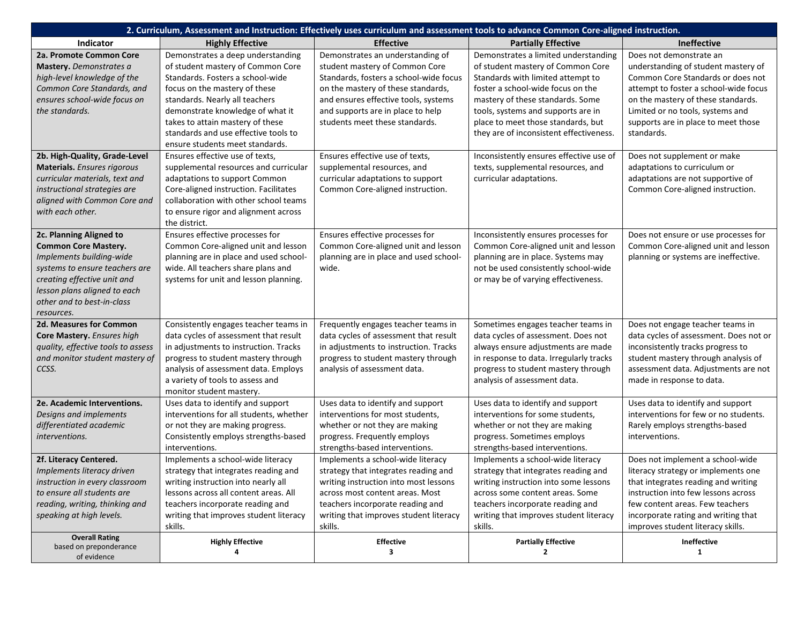| 2. Curriculum, Assessment and Instruction: Effectively uses curriculum and assessment tools to advance Common Core-aligned instruction. |                                                                          |                                                                    |                                                                           |                                                                         |
|-----------------------------------------------------------------------------------------------------------------------------------------|--------------------------------------------------------------------------|--------------------------------------------------------------------|---------------------------------------------------------------------------|-------------------------------------------------------------------------|
| Indicator                                                                                                                               | <b>Highly Effective</b>                                                  | <b>Effective</b>                                                   | <b>Partially Effective</b>                                                | Ineffective                                                             |
| 2a. Promote Common Core<br>Mastery. Demonstrates a                                                                                      | Demonstrates a deep understanding<br>of student mastery of Common Core   | Demonstrates an understanding of<br>student mastery of Common Core | Demonstrates a limited understanding<br>of student mastery of Common Core | Does not demonstrate an<br>understanding of student mastery of          |
| high-level knowledge of the                                                                                                             | Standards. Fosters a school-wide                                         | Standards, fosters a school-wide focus                             | Standards with limited attempt to                                         | Common Core Standards or does not                                       |
| Common Core Standards, and                                                                                                              | focus on the mastery of these                                            | on the mastery of these standards,                                 | foster a school-wide focus on the                                         | attempt to foster a school-wide focus                                   |
| ensures school-wide focus on                                                                                                            | standards. Nearly all teachers                                           | and ensures effective tools, systems                               | mastery of these standards. Some                                          | on the mastery of these standards.                                      |
| the standards.                                                                                                                          | demonstrate knowledge of what it                                         | and supports are in place to help                                  | tools, systems and supports are in                                        | Limited or no tools, systems and                                        |
|                                                                                                                                         | takes to attain mastery of these                                         | students meet these standards.                                     | place to meet those standards, but                                        | supports are in place to meet those                                     |
|                                                                                                                                         | standards and use effective tools to                                     |                                                                    | they are of inconsistent effectiveness.                                   | standards.                                                              |
|                                                                                                                                         | ensure students meet standards.                                          |                                                                    |                                                                           |                                                                         |
| 2b. High-Quality, Grade-Level                                                                                                           | Ensures effective use of texts,                                          | Ensures effective use of texts,                                    | Inconsistently ensures effective use of                                   | Does not supplement or make                                             |
| <b>Materials.</b> Ensures rigorous                                                                                                      | supplemental resources and curricular                                    | supplemental resources, and                                        | texts, supplemental resources, and                                        | adaptations to curriculum or                                            |
| curricular materials, text and                                                                                                          | adaptations to support Common                                            | curricular adaptations to support                                  | curricular adaptations.                                                   | adaptations are not supportive of                                       |
| instructional strategies are                                                                                                            | Core-aligned instruction. Facilitates                                    | Common Core-aligned instruction.                                   |                                                                           | Common Core-aligned instruction.                                        |
| aligned with Common Core and                                                                                                            | collaboration with other school teams                                    |                                                                    |                                                                           |                                                                         |
| with each other.                                                                                                                        | to ensure rigor and alignment across<br>the district.                    |                                                                    |                                                                           |                                                                         |
| 2c. Planning Aligned to                                                                                                                 | Ensures effective processes for                                          | Ensures effective processes for                                    | Inconsistently ensures processes for                                      | Does not ensure or use processes for                                    |
| <b>Common Core Mastery.</b>                                                                                                             | Common Core-aligned unit and lesson                                      | Common Core-aligned unit and lesson                                | Common Core-aligned unit and lesson                                       | Common Core-aligned unit and lesson                                     |
| Implements building-wide                                                                                                                | planning are in place and used school-                                   | planning are in place and used school-                             | planning are in place. Systems may                                        | planning or systems are ineffective.                                    |
| systems to ensure teachers are                                                                                                          | wide. All teachers share plans and                                       | wide.                                                              | not be used consistently school-wide                                      |                                                                         |
| creating effective unit and                                                                                                             | systems for unit and lesson planning.                                    |                                                                    | or may be of varying effectiveness.                                       |                                                                         |
| lesson plans aligned to each                                                                                                            |                                                                          |                                                                    |                                                                           |                                                                         |
| other and to best-in-class                                                                                                              |                                                                          |                                                                    |                                                                           |                                                                         |
| resources.                                                                                                                              |                                                                          |                                                                    |                                                                           |                                                                         |
| <b>2d. Measures for Common</b>                                                                                                          | Consistently engages teacher teams in                                    | Frequently engages teacher teams in                                | Sometimes engages teacher teams in                                        | Does not engage teacher teams in                                        |
| Core Mastery. Ensures high                                                                                                              | data cycles of assessment that result                                    | data cycles of assessment that result                              | data cycles of assessment. Does not                                       | data cycles of assessment. Does not or                                  |
| quality, effective tools to assess                                                                                                      | in adjustments to instruction. Tracks                                    | in adjustments to instruction. Tracks                              | always ensure adjustments are made                                        | inconsistently tracks progress to                                       |
| and monitor student mastery of                                                                                                          | progress to student mastery through                                      | progress to student mastery through                                | in response to data. Irregularly tracks                                   | student mastery through analysis of                                     |
| CCSS.                                                                                                                                   | analysis of assessment data. Employs                                     | analysis of assessment data.                                       | progress to student mastery through                                       | assessment data. Adjustments are not                                    |
|                                                                                                                                         | a variety of tools to assess and                                         |                                                                    | analysis of assessment data.                                              | made in response to data.                                               |
|                                                                                                                                         | monitor student mastery.                                                 |                                                                    |                                                                           |                                                                         |
| 2e. Academic Interventions.                                                                                                             | Uses data to identify and support                                        | Uses data to identify and support                                  | Uses data to identify and support                                         | Uses data to identify and support                                       |
| Designs and implements<br>differentiated academic                                                                                       | interventions for all students, whether                                  | interventions for most students,<br>whether or not they are making | interventions for some students,<br>whether or not they are making        | interventions for few or no students.<br>Rarely employs strengths-based |
| interventions.                                                                                                                          | or not they are making progress.<br>Consistently employs strengths-based | progress. Frequently employs                                       | progress. Sometimes employs                                               | interventions.                                                          |
|                                                                                                                                         | interventions.                                                           | strengths-based interventions.                                     | strengths-based interventions.                                            |                                                                         |
| 2f. Literacy Centered.                                                                                                                  | Implements a school-wide literacy                                        | Implements a school-wide literacy                                  | Implements a school-wide literacy                                         | Does not implement a school-wide                                        |
| Implements literacy driven                                                                                                              | strategy that integrates reading and                                     | strategy that integrates reading and                               | strategy that integrates reading and                                      | literacy strategy or implements one                                     |
| instruction in every classroom                                                                                                          | writing instruction into nearly all                                      | writing instruction into most lessons                              | writing instruction into some lessons                                     | that integrates reading and writing                                     |
| to ensure all students are                                                                                                              | lessons across all content areas. All                                    | across most content areas. Most                                    | across some content areas. Some                                           | instruction into few lessons across                                     |
| reading, writing, thinking and                                                                                                          | teachers incorporate reading and                                         | teachers incorporate reading and                                   | teachers incorporate reading and                                          | few content areas. Few teachers                                         |
| speaking at high levels.                                                                                                                | writing that improves student literacy                                   | writing that improves student literacy                             | writing that improves student literacy                                    | incorporate rating and writing that                                     |
|                                                                                                                                         | skills.                                                                  | skills.                                                            | skills.                                                                   | improves student literacy skills.                                       |
| <b>Overall Rating</b>                                                                                                                   | <b>Highly Effective</b>                                                  | <b>Effective</b>                                                   | <b>Partially Effective</b>                                                | Ineffective                                                             |
| based on preponderance<br>of evidence                                                                                                   | 4                                                                        | 3                                                                  | $\mathbf{2}$                                                              | $\mathbf{1}$                                                            |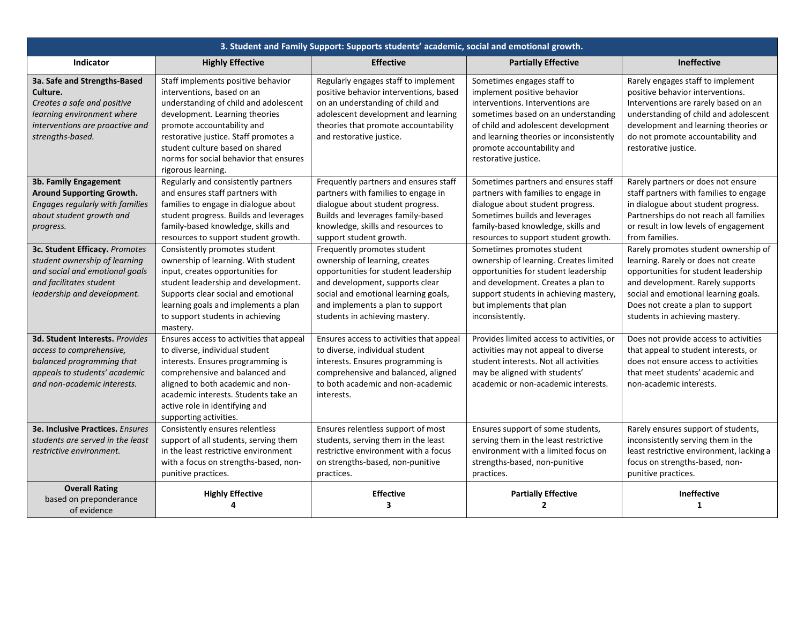| 3. Student and Family Support: Supports students' academic, social and emotional growth.                                                                     |                                                                                                                                                                                                                                                                                                                       |                                                                                                                                                                                                                                                        |                                                                                                                                                                                                                                                                              |                                                                                                                                                                                                                                                                        |
|--------------------------------------------------------------------------------------------------------------------------------------------------------------|-----------------------------------------------------------------------------------------------------------------------------------------------------------------------------------------------------------------------------------------------------------------------------------------------------------------------|--------------------------------------------------------------------------------------------------------------------------------------------------------------------------------------------------------------------------------------------------------|------------------------------------------------------------------------------------------------------------------------------------------------------------------------------------------------------------------------------------------------------------------------------|------------------------------------------------------------------------------------------------------------------------------------------------------------------------------------------------------------------------------------------------------------------------|
| Indicator                                                                                                                                                    | <b>Highly Effective</b>                                                                                                                                                                                                                                                                                               | <b>Effective</b>                                                                                                                                                                                                                                       | <b>Partially Effective</b>                                                                                                                                                                                                                                                   | <b>Ineffective</b>                                                                                                                                                                                                                                                     |
| 3a. Safe and Strengths-Based<br>Culture.<br>Creates a safe and positive<br>learning environment where<br>interventions are proactive and<br>strengths-based. | Staff implements positive behavior<br>interventions, based on an<br>understanding of child and adolescent<br>development. Learning theories<br>promote accountability and<br>restorative justice. Staff promotes a<br>student culture based on shared<br>norms for social behavior that ensures<br>rigorous learning. | Regularly engages staff to implement<br>positive behavior interventions, based<br>on an understanding of child and<br>adolescent development and learning<br>theories that promote accountability<br>and restorative justice.                          | Sometimes engages staff to<br>implement positive behavior<br>interventions. Interventions are<br>sometimes based on an understanding<br>of child and adolescent development<br>and learning theories or inconsistently<br>promote accountability and<br>restorative justice. | Rarely engages staff to implement<br>positive behavior interventions.<br>Interventions are rarely based on an<br>understanding of child and adolescent<br>development and learning theories or<br>do not promote accountability and<br>restorative justice.            |
| 3b. Family Engagement<br>Around Supporting Growth.<br>Engages regularly with families<br>about student growth and<br>progress.                               | Regularly and consistently partners<br>and ensures staff partners with<br>families to engage in dialogue about<br>student progress. Builds and leverages<br>family-based knowledge, skills and<br>resources to support student growth.                                                                                | Frequently partners and ensures staff<br>partners with families to engage in<br>dialogue about student progress.<br>Builds and leverages family-based<br>knowledge, skills and resources to<br>support student growth.                                 | Sometimes partners and ensures staff<br>partners with families to engage in<br>dialogue about student progress.<br>Sometimes builds and leverages<br>family-based knowledge, skills and<br>resources to support student growth.                                              | Rarely partners or does not ensure<br>staff partners with families to engage<br>in dialogue about student progress.<br>Partnerships do not reach all families<br>or result in low levels of engagement<br>from families.                                               |
| 3c. Student Efficacy. Promotes<br>student ownership of learning<br>and social and emotional goals<br>and facilitates student<br>leadership and development.  | Consistently promotes student<br>ownership of learning. With student<br>input, creates opportunities for<br>student leadership and development.<br>Supports clear social and emotional<br>learning goals and implements a plan<br>to support students in achieving<br>mastery.                                        | Frequently promotes student<br>ownership of learning, creates<br>opportunities for student leadership<br>and development, supports clear<br>social and emotional learning goals,<br>and implements a plan to support<br>students in achieving mastery. | Sometimes promotes student<br>ownership of learning. Creates limited<br>opportunities for student leadership<br>and development. Creates a plan to<br>support students in achieving mastery,<br>but implements that plan<br>inconsistently.                                  | Rarely promotes student ownership of<br>learning. Rarely or does not create<br>opportunities for student leadership<br>and development. Rarely supports<br>social and emotional learning goals.<br>Does not create a plan to support<br>students in achieving mastery. |
| 3d. Student Interests. Provides<br>access to comprehensive,<br>balanced programming that<br>appeals to students' academic<br>and non-academic interests.     | Ensures access to activities that appeal<br>to diverse, individual student<br>interests. Ensures programming is<br>comprehensive and balanced and<br>aligned to both academic and non-<br>academic interests. Students take an<br>active role in identifying and<br>supporting activities.                            | Ensures access to activities that appeal<br>to diverse, individual student<br>interests. Ensures programming is<br>comprehensive and balanced, aligned<br>to both academic and non-academic<br>interests.                                              | Provides limited access to activities, or<br>activities may not appeal to diverse<br>student interests. Not all activities<br>may be aligned with students'<br>academic or non-academic interests.                                                                           | Does not provide access to activities<br>that appeal to student interests, or<br>does not ensure access to activities<br>that meet students' academic and<br>non-academic interests.                                                                                   |
| <b>3e. Inclusive Practices.</b> Ensures<br>students are served in the least<br>restrictive environment.                                                      | Consistently ensures relentless<br>support of all students, serving them<br>in the least restrictive environment<br>with a focus on strengths-based, non-<br>punitive practices.                                                                                                                                      | Ensures relentless support of most<br>students, serving them in the least<br>restrictive environment with a focus<br>on strengths-based, non-punitive<br>practices.                                                                                    | Ensures support of some students,<br>serving them in the least restrictive<br>environment with a limited focus on<br>strengths-based, non-punitive<br>practices.                                                                                                             | Rarely ensures support of students,<br>inconsistently serving them in the<br>least restrictive environment, lacking a<br>focus on strengths-based, non-<br>punitive practices.                                                                                         |
| <b>Overall Rating</b><br>based on preponderance<br>of evidence                                                                                               | <b>Highly Effective</b><br>Δ                                                                                                                                                                                                                                                                                          | <b>Effective</b><br>$\overline{\mathbf{3}}$                                                                                                                                                                                                            | <b>Partially Effective</b><br>$\mathbf{2}$                                                                                                                                                                                                                                   | <b>Ineffective</b><br>1                                                                                                                                                                                                                                                |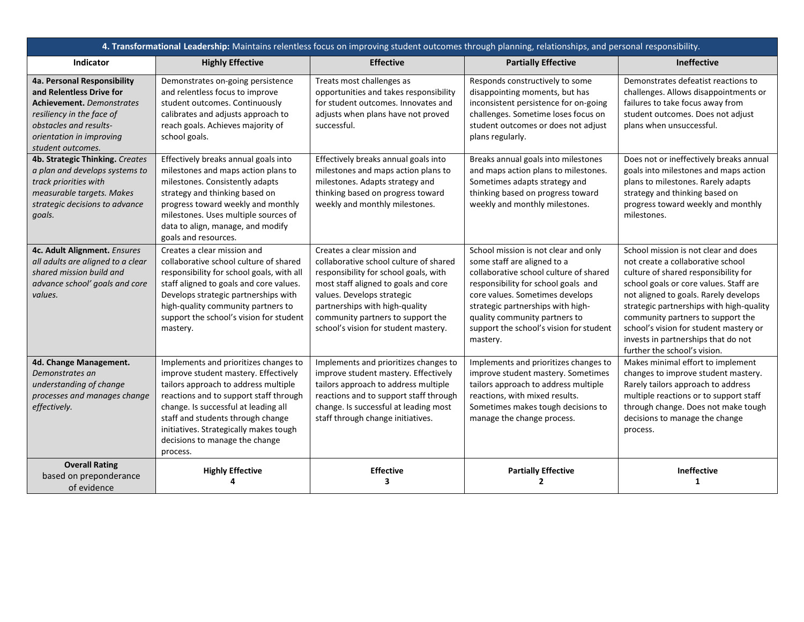| 4. Transformational Leadership: Maintains relentless focus on improving student outcomes through planning, relationships, and personal responsibility.                                              |                                                                                                                                                                                                                                                                                                                                      |                                                                                                                                                                                                                                                                                                     |                                                                                                                                                                                                                                                                                                                      |                                                                                                                                                                                                                                                                                                                                                                                                        |
|-----------------------------------------------------------------------------------------------------------------------------------------------------------------------------------------------------|--------------------------------------------------------------------------------------------------------------------------------------------------------------------------------------------------------------------------------------------------------------------------------------------------------------------------------------|-----------------------------------------------------------------------------------------------------------------------------------------------------------------------------------------------------------------------------------------------------------------------------------------------------|----------------------------------------------------------------------------------------------------------------------------------------------------------------------------------------------------------------------------------------------------------------------------------------------------------------------|--------------------------------------------------------------------------------------------------------------------------------------------------------------------------------------------------------------------------------------------------------------------------------------------------------------------------------------------------------------------------------------------------------|
| Indicator                                                                                                                                                                                           | <b>Highly Effective</b>                                                                                                                                                                                                                                                                                                              | <b>Effective</b>                                                                                                                                                                                                                                                                                    | <b>Partially Effective</b>                                                                                                                                                                                                                                                                                           | Ineffective                                                                                                                                                                                                                                                                                                                                                                                            |
| 4a. Personal Responsibility<br>and Relentless Drive for<br><b>Achievement.</b> Demonstrates<br>resiliency in the face of<br>obstacles and results-<br>orientation in improving<br>student outcomes. | Demonstrates on-going persistence<br>and relentless focus to improve<br>student outcomes. Continuously<br>calibrates and adjusts approach to<br>reach goals. Achieves majority of<br>school goals.                                                                                                                                   | Treats most challenges as<br>opportunities and takes responsibility<br>for student outcomes. Innovates and<br>adjusts when plans have not proved<br>successful.                                                                                                                                     | Responds constructively to some<br>disappointing moments, but has<br>inconsistent persistence for on-going<br>challenges. Sometime loses focus on<br>student outcomes or does not adjust<br>plans regularly.                                                                                                         | Demonstrates defeatist reactions to<br>challenges. Allows disappointments or<br>failures to take focus away from<br>student outcomes. Does not adjust<br>plans when unsuccessful.                                                                                                                                                                                                                      |
| 4b. Strategic Thinking. Creates<br>a plan and develops systems to<br>track priorities with<br>measurable targets. Makes<br>strategic decisions to advance<br>goals.                                 | Effectively breaks annual goals into<br>milestones and maps action plans to<br>milestones. Consistently adapts<br>strategy and thinking based on<br>progress toward weekly and monthly<br>milestones. Uses multiple sources of<br>data to align, manage, and modify<br>goals and resources.                                          | Effectively breaks annual goals into<br>milestones and maps action plans to<br>milestones. Adapts strategy and<br>thinking based on progress toward<br>weekly and monthly milestones.                                                                                                               | Breaks annual goals into milestones<br>and maps action plans to milestones.<br>Sometimes adapts strategy and<br>thinking based on progress toward<br>weekly and monthly milestones.                                                                                                                                  | Does not or ineffectively breaks annual<br>goals into milestones and maps action<br>plans to milestones. Rarely adapts<br>strategy and thinking based on<br>progress toward weekly and monthly<br>milestones.                                                                                                                                                                                          |
| 4c. Adult Alignment. Ensures<br>all adults are aligned to a clear<br>shared mission build and<br>advance school' goals and core<br>values.                                                          | Creates a clear mission and<br>collaborative school culture of shared<br>responsibility for school goals, with all<br>staff aligned to goals and core values.<br>Develops strategic partnerships with<br>high-quality community partners to<br>support the school's vision for student<br>mastery.                                   | Creates a clear mission and<br>collaborative school culture of shared<br>responsibility for school goals, with<br>most staff aligned to goals and core<br>values. Develops strategic<br>partnerships with high-quality<br>community partners to support the<br>school's vision for student mastery. | School mission is not clear and only<br>some staff are aligned to a<br>collaborative school culture of shared<br>responsibility for school goals and<br>core values. Sometimes develops<br>strategic partnerships with high-<br>quality community partners to<br>support the school's vision for student<br>mastery. | School mission is not clear and does<br>not create a collaborative school<br>culture of shared responsibility for<br>school goals or core values. Staff are<br>not aligned to goals. Rarely develops<br>strategic partnerships with high-quality<br>community partners to support the<br>school's vision for student mastery or<br>invests in partnerships that do not<br>further the school's vision. |
| 4d. Change Management.<br>Demonstrates an<br>understanding of change<br>processes and manages change<br>effectively.                                                                                | Implements and prioritizes changes to<br>improve student mastery. Effectively<br>tailors approach to address multiple<br>reactions and to support staff through<br>change. Is successful at leading all<br>staff and students through change<br>initiatives. Strategically makes tough<br>decisions to manage the change<br>process. | Implements and prioritizes changes to<br>improve student mastery. Effectively<br>tailors approach to address multiple<br>reactions and to support staff through<br>change. Is successful at leading most<br>staff through change initiatives.                                                       | Implements and prioritizes changes to<br>improve student mastery. Sometimes<br>tailors approach to address multiple<br>reactions, with mixed results.<br>Sometimes makes tough decisions to<br>manage the change process.                                                                                            | Makes minimal effort to implement<br>changes to improve student mastery.<br>Rarely tailors approach to address<br>multiple reactions or to support staff<br>through change. Does not make tough<br>decisions to manage the change<br>process.                                                                                                                                                          |
| <b>Overall Rating</b><br>based on preponderance<br>of evidence                                                                                                                                      | <b>Highly Effective</b>                                                                                                                                                                                                                                                                                                              | <b>Effective</b><br>3                                                                                                                                                                                                                                                                               | <b>Partially Effective</b><br>2                                                                                                                                                                                                                                                                                      | Ineffective<br>1                                                                                                                                                                                                                                                                                                                                                                                       |